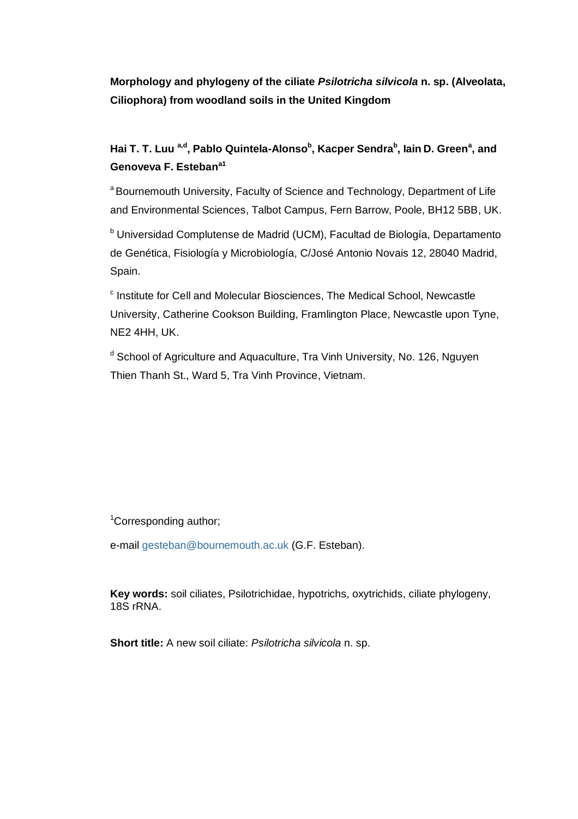**Morphology and phylogeny of the ciliate** *Psilotricha silvicola* **n. sp. (Alveolata, Ciliophora) from woodland soils in the United Kingdom**

# **Hai T. T. Luu a,d , Pablo Quintela-Alonso<sup>b</sup> , Kacper Sendra<sup>b</sup> , Iain D. Green<sup>a</sup> , and Genoveva F. Estebana1**

<sup>a</sup> Bournemouth University, Faculty of Science and Technology, Department of Life and Environmental Sciences, Talbot Campus, Fern Barrow, Poole, BH12 5BB, UK.

<sup>b</sup> Universidad Complutense de Madrid (UCM), Facultad de Biología, Departamento de Genética, Fisiología y Microbiología, C/José Antonio Novais 12, 28040 Madrid, Spain.

<sup>c</sup> Institute for Cell and Molecular Biosciences, The Medical School, Newcastle University, Catherine Cookson Building, Framlington Place, Newcastle upon Tyne, NE2 4HH, UK.

<sup>d</sup> School of Agriculture and Aguaculture, Tra Vinh University, No. 126, Nguyen Thien Thanh St., Ward 5, Tra Vinh Province, Vietnam.

<sup>1</sup>Corresponding author;

e-mail [gesteban@bournemouth.ac.uk](mailto:gesteban@bournemouth.ac.uk) (G.F. Esteban).

**Key words:** soil ciliates, Psilotrichidae, hypotrichs, oxytrichids, ciliate phylogeny, 18S rRNA.

**Short title:** A new soil ciliate: *Psilotricha silvicola* n. sp.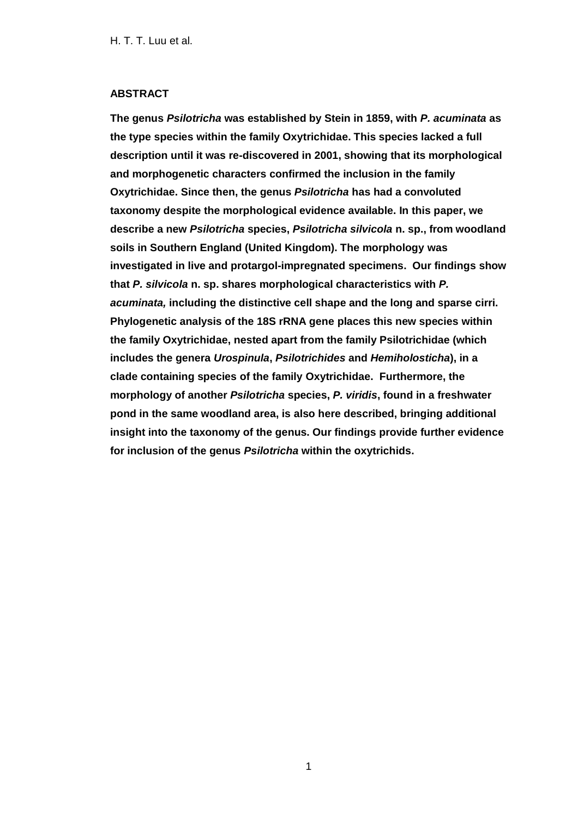# **ABSTRACT**

**The genus** *Psilotricha* **was established by Stein in 1859, with** *P. acuminata* **as the type species within the family Oxytrichidae. This species lacked a full description until it was re-discovered in 2001, showing that its morphological and morphogenetic characters confirmed the inclusion in the family Oxytrichidae. Since then, the genus** *Psilotricha* **has had a convoluted taxonomy despite the morphological evidence available. In this paper, we describe a new** *Psilotricha* **species,** *Psilotricha silvicola* **n. sp., from woodland soils in Southern England (United Kingdom). The morphology was investigated in live and protargol-impregnated specimens. Our findings show that** *P. silvicola* **n. sp. shares morphological characteristics with** *P. acuminata,* **including the distinctive cell shape and the long and sparse cirri. Phylogenetic analysis of the 18S rRNA gene places this new species within the family Oxytrichidae, nested apart from the family Psilotrichidae (which includes the genera** *Urospinula***,** *Psilotrichides* **and** *Hemiholosticha***), in a clade containing species of the family Oxytrichidae. Furthermore, the morphology of another** *Psilotricha* **species,** *P. viridis***, found in a freshwater pond in the same woodland area, is also here described, bringing additional insight into the taxonomy of the genus. Our findings provide further evidence for inclusion of the genus** *Psilotricha* **within the oxytrichids.**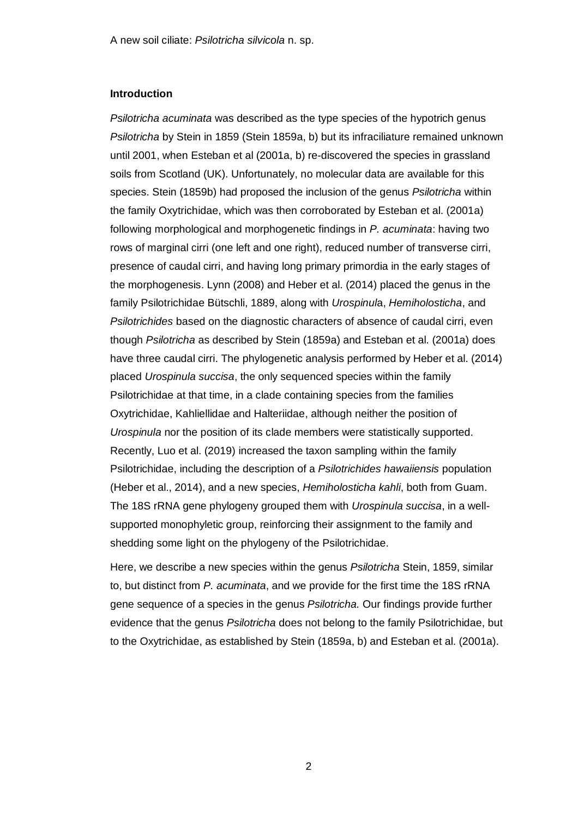# **Introduction**

*Psilotricha acuminata* was described as the type species of the hypotrich genus *Psilotricha* by Stein in 1859 (Stein 1859a, b) but its infraciliature remained unknown until 2001, when Esteban et al (2001a, b) re-discovered the species in grassland soils from Scotland (UK). Unfortunately, no molecular data are available for this species. Stein (1859b) had proposed the inclusion of the genus *Psilotricha* within the family Oxytrichidae, which was then corroborated by Esteban et al. (2001a) following morphological and morphogenetic findings in *P. acuminata*: having two rows of marginal cirri (one left and one right), reduced number of transverse cirri, presence of caudal cirri, and having long primary primordia in the early stages of the morphogenesis. Lynn (2008) and Heber et al. (2014) placed the genus in the family Psilotrichidae Bütschli, 1889, along with *Urospinul*a, *Hemiholosticha*, and *Psilotrichides* based on the diagnostic characters of absence of caudal cirri, even though *Psilotricha* as described by Stein (1859a) and Esteban et al. (2001a) does have three caudal cirri. The phylogenetic analysis performed by Heber et al. (2014) placed *Urospinula succisa*, the only sequenced species within the family Psilotrichidae at that time, in a clade containing species from the families Oxytrichidae, Kahliellidae and Halteriidae, although neither the position of *Urospinula* nor the position of its clade members were statistically supported. Recently, Luo et al. (2019) increased the taxon sampling within the family Psilotrichidae, including the description of a *Psilotrichides hawaiiensis* population (Heber et al., 2014), and a new species, *Hemiholosticha kahli*, both from Guam. The 18S rRNA gene phylogeny grouped them with *Urospinula succisa*, in a wellsupported monophyletic group, reinforcing their assignment to the family and shedding some light on the phylogeny of the Psilotrichidae.

Here, we describe a new species within the genus *Psilotricha* Stein, 1859, similar to, but distinct from *P. acuminata*, and we provide for the first time the 18S rRNA gene sequence of a species in the genus *Psilotricha.* Our findings provide further evidence that the genus *Psilotricha* does not belong to the family Psilotrichidae, but to the Oxytrichidae, as established by Stein (1859a, b) and Esteban et al. (2001a).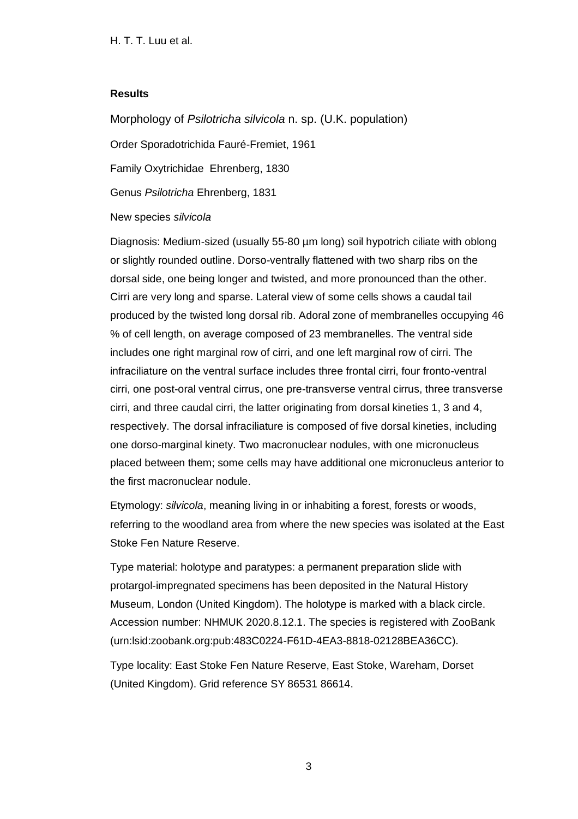# **Results**

Morphology of *Psilotricha silvicola* n. sp. (U.K. population)

Order Sporadotrichida Fauré-Fremiet, 1961

Family Oxytrichidae Ehrenberg, 1830

Genus *Psilotricha* Ehrenberg, 1831

# New species *silvicola*

Diagnosis: Medium-sized (usually 55-80 µm long) soil hypotrich ciliate with oblong or slightly rounded outline. Dorso-ventrally flattened with two sharp ribs on the dorsal side, one being longer and twisted, and more pronounced than the other. Cirri are very long and sparse. Lateral view of some cells shows a caudal tail produced by the twisted long dorsal rib. Adoral zone of membranelles occupying 46 % of cell length, on average composed of 23 membranelles. The ventral side includes one right marginal row of cirri, and one left marginal row of cirri. The infraciliature on the ventral surface includes three frontal cirri, four fronto-ventral cirri, one post-oral ventral cirrus, one pre-transverse ventral cirrus, three transverse cirri, and three caudal cirri, the latter originating from dorsal kineties 1, 3 and 4, respectively. The dorsal infraciliature is composed of five dorsal kineties, including one dorso-marginal kinety. Two macronuclear nodules, with one micronucleus placed between them; some cells may have additional one micronucleus anterior to the first macronuclear nodule.

Etymology: *silvicola*, meaning living in or inhabiting a forest, forests or woods, referring to the woodland area from where the new species was isolated at the East Stoke Fen Nature Reserve.

Type material: holotype and paratypes: a permanent preparation slide with protargol-impregnated specimens has been deposited in the Natural History Museum, London (United Kingdom). The holotype is marked with a black circle. Accession number: NHMUK 2020.8.12.1. The species is registered with ZooBank (urn:lsid:zoobank.org:pub:483C0224-F61D-4EA3-8818-02128BEA36CC).

Type locality: East Stoke Fen Nature Reserve, East Stoke, Wareham, Dorset (United Kingdom). Grid reference SY 86531 86614.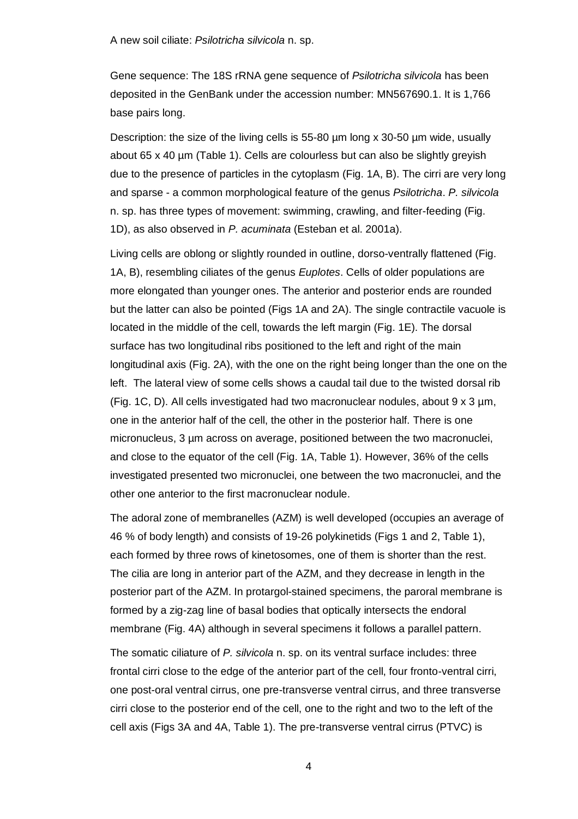Gene sequence: The 18S rRNA gene sequence of *Psilotricha silvicola* has been deposited in the GenBank under the accession number: MN567690.1. It is 1,766 base pairs long.

Description: the size of the living cells is 55-80 µm long x 30-50 µm wide, usually about 65 x 40 µm (Table 1). Cells are colourless but can also be slightly greyish due to the presence of particles in the cytoplasm (Fig. 1A, B). The cirri are very long and sparse - a common morphological feature of the genus *Psilotricha*. *P. silvicola* n. sp. has three types of movement: swimming, crawling, and filter-feeding (Fig. 1D), as also observed in *P. acuminata* (Esteban et al. 2001a).

Living cells are oblong or slightly rounded in outline, dorso-ventrally flattened (Fig. 1A, B), resembling ciliates of the genus *Euplotes*. Cells of older populations are more elongated than younger ones. The anterior and posterior ends are rounded but the latter can also be pointed (Figs 1A and 2A). The single contractile vacuole is located in the middle of the cell, towards the left margin (Fig. 1E). The dorsal surface has two longitudinal ribs positioned to the left and right of the main longitudinal axis (Fig. 2A), with the one on the right being longer than the one on the left. The lateral view of some cells shows a caudal tail due to the twisted dorsal rib (Fig. 1C, D). All cells investigated had two macronuclear nodules, about  $9 \times 3 \text{ µm}$ , one in the anterior half of the cell, the other in the posterior half. There is one micronucleus, 3 µm across on average, positioned between the two macronuclei, and close to the equator of the cell (Fig. 1A, Table 1). However, 36% of the cells investigated presented two micronuclei, one between the two macronuclei, and the other one anterior to the first macronuclear nodule.

The adoral zone of membranelles (AZM) is well developed (occupies an average of 46 % of body length) and consists of 19-26 polykinetids (Figs 1 and 2, Table 1), each formed by three rows of kinetosomes, one of them is shorter than the rest. The cilia are long in anterior part of the AZM, and they decrease in length in the posterior part of the AZM. In protargol-stained specimens, the paroral membrane is formed by a zig-zag line of basal bodies that optically intersects the endoral membrane (Fig. 4A) although in several specimens it follows a parallel pattern.

The somatic ciliature of *P. silvicola* n. sp. on its ventral surface includes: three frontal cirri close to the edge of the anterior part of the cell, four fronto-ventral cirri, one post-oral ventral cirrus, one pre-transverse ventral cirrus, and three transverse cirri close to the posterior end of the cell, one to the right and two to the left of the cell axis (Figs 3A and 4A, Table 1). The pre-transverse ventral cirrus (PTVC) is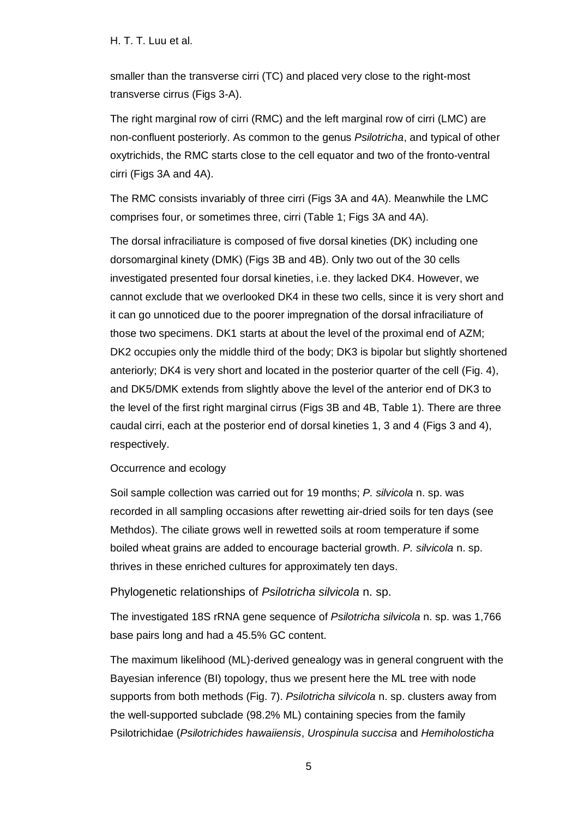smaller than the transverse cirri (TC) and placed very close to the right-most transverse cirrus (Figs 3-A).

The right marginal row of cirri (RMC) and the left marginal row of cirri (LMC) are non-confluent posteriorly. As common to the genus *Psilotricha*, and typical of other oxytrichids, the RMC starts close to the cell equator and two of the fronto-ventral cirri (Figs 3A and 4A).

The RMC consists invariably of three cirri (Figs 3A and 4A). Meanwhile the LMC comprises four, or sometimes three, cirri (Table 1; Figs 3A and 4A).

The dorsal infraciliature is composed of five dorsal kineties (DK) including one dorsomarginal kinety (DMK) (Figs 3B and 4B). Only two out of the 30 cells investigated presented four dorsal kineties, i.e. they lacked DK4. However, we cannot exclude that we overlooked DK4 in these two cells, since it is very short and it can go unnoticed due to the poorer impregnation of the dorsal infraciliature of those two specimens. DK1 starts at about the level of the proximal end of AZM; DK2 occupies only the middle third of the body; DK3 is bipolar but slightly shortened anteriorly; DK4 is very short and located in the posterior quarter of the cell (Fig. 4), and DK5/DMK extends from slightly above the level of the anterior end of DK3 to the level of the first right marginal cirrus (Figs 3B and 4B, Table 1). There are three caudal cirri, each at the posterior end of dorsal kineties 1, 3 and 4 (Figs 3 and 4), respectively.

# Occurrence and ecology

Soil sample collection was carried out for 19 months; *P. silvicola* n. sp. was recorded in all sampling occasions after rewetting air-dried soils for ten days (see Methdos). The ciliate grows well in rewetted soils at room temperature if some boiled wheat grains are added to encourage bacterial growth. *P. silvicola* n. sp. thrives in these enriched cultures for approximately ten days.

# Phylogenetic relationships of *Psilotricha silvicola* n. sp.

The investigated 18S rRNA gene sequence of *Psilotricha silvicola* n. sp. was 1,766 base pairs long and had a 45.5% GC content.

The maximum likelihood (ML)-derived genealogy was in general congruent with the Bayesian inference (BI) topology, thus we present here the ML tree with node supports from both methods (Fig. 7). *Psilotricha silvicola* n. sp. clusters away from the well-supported subclade (98.2% ML) containing species from the family Psilotrichidae (*Psilotrichides hawaiiensis*, *Urospinula succisa* and *Hemiholosticha*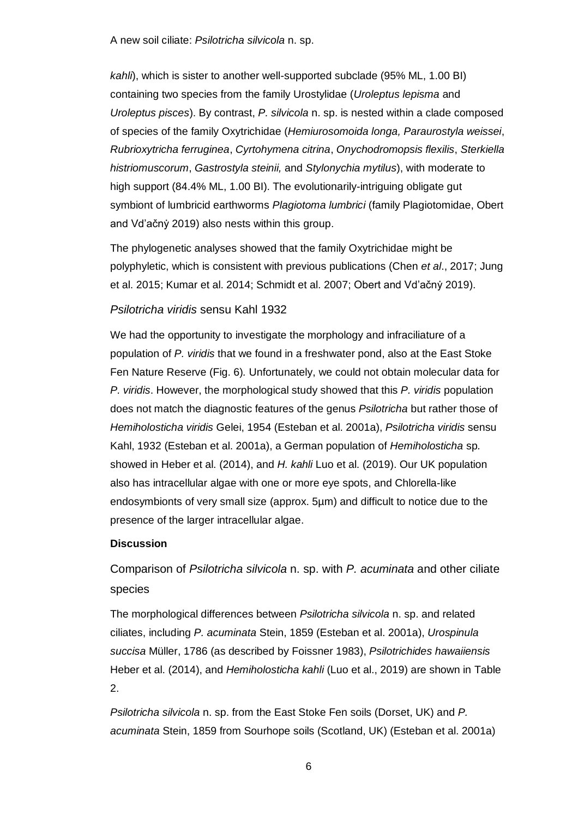*kahli*), which is sister to another well-supported subclade (95% ML, 1.00 BI) containing two species from the family Urostylidae (*Uroleptus lepisma* and *Uroleptus pisces*). By contrast, *P. silvicola* n. sp. is nested within a clade composed of species of the family Oxytrichidae (*Hemiurosomoida longa, Paraurostyla weissei*, *Rubrioxytricha ferruginea*, *Cyrtohymena citrina*, *Onychodromopsis flexilis*, *Sterkiella histriomuscorum*, *Gastrostyla steinii,* and *Stylonychia mytilus*), with moderate to high support (84.4% ML, 1.00 BI). The evolutionarily-intriguing obligate gut symbiont of lumbricid earthworms *Plagiotoma lumbrici* (family Plagiotomidae, Obert and Vd'ačný 2019) also nests within this group.

The phylogenetic analyses showed that the family Oxytrichidae might be polyphyletic, which is consistent with previous publications (Chen *et al*., 2017; Jung et al. 2015; Kumar et al. 2014; Schmidt et al. 2007; Obert and Vd'ačny 2019).

# *Psilotricha viridis* sensu Kahl 1932

We had the opportunity to investigate the morphology and infraciliature of a population of *P. viridis* that we found in a freshwater pond, also at the East Stoke Fen Nature Reserve (Fig. 6)*.* Unfortunately, we could not obtain molecular data for *P. viridis*. However, the morphological study showed that this *P. viridis* population does not match the diagnostic features of the genus *Psilotricha* but rather those of *Hemiholosticha viridis* Gelei, 1954 (Esteban et al. 2001a), *Psilotricha viridis* sensu Kahl, 1932 (Esteban et al. 2001a), a German population of *Hemiholosticha* sp*.* showed in Heber et al. (2014), and *H. kahli* Luo et al. (2019). Our UK population also has intracellular algae with one or more eye spots, and Chlorella-like endosymbionts of very small size (approx. 5µm) and difficult to notice due to the presence of the larger intracellular algae.

## **Discussion**

Comparison of *Psilotricha silvicola* n. sp. with *P. acuminata* and other ciliate species

The morphological differences between *Psilotricha silvicola* n. sp. and related ciliates, including *P. acuminata* Stein, 1859 (Esteban et al. 2001a), *Urospinula succisa* Müller, 1786 (as described by Foissner 1983), *Psilotrichides hawaiiensis* Heber et al. (2014), and *Hemiholosticha kahli* (Luo et al., 2019) are shown in Table 2.

*Psilotricha silvicola* n. sp. from the East Stoke Fen soils (Dorset, UK) and *P. acuminata* Stein, 1859 from Sourhope soils (Scotland, UK) (Esteban et al. 2001a)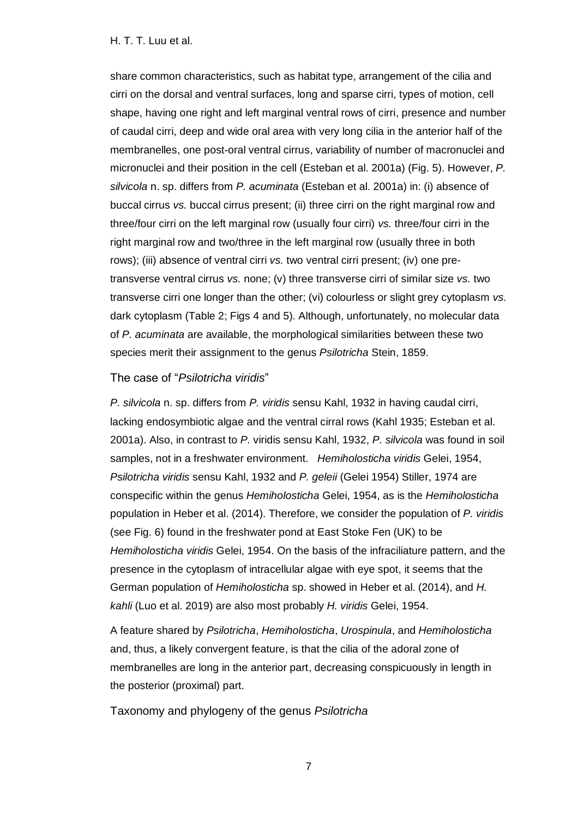share common characteristics, such as habitat type, arrangement of the cilia and cirri on the dorsal and ventral surfaces, long and sparse cirri, types of motion, cell shape, having one right and left marginal ventral rows of cirri, presence and number of caudal cirri, deep and wide oral area with very long cilia in the anterior half of the membranelles, one post-oral ventral cirrus, variability of number of macronuclei and micronuclei and their position in the cell (Esteban et al. 2001a) (Fig. 5). However, *P. silvicola* n. sp. differs from *P. acuminata* (Esteban et al. 2001a) in: (i) absence of buccal cirrus *vs.* buccal cirrus present; (ii) three cirri on the right marginal row and three/four cirri on the left marginal row (usually four cirri) *vs.* three/four cirri in the right marginal row and two/three in the left marginal row (usually three in both rows); (iii) absence of ventral cirri *vs.* two ventral cirri present; (iv) one pretransverse ventral cirrus *vs.* none; (v) three transverse cirri of similar size *vs.* two transverse cirri one longer than the other; (vi) colourless or slight grey cytoplasm *vs.*  dark cytoplasm (Table 2; Figs 4 and 5). Although, unfortunately, no molecular data of *P. acuminata* are available, the morphological similarities between these two species merit their assignment to the genus *Psilotricha* Stein, 1859.

# The case of "*Psilotricha viridis*"

*P. silvicola* n. sp. differs from *P. viridis* sensu Kahl, 1932 in having caudal cirri, lacking endosymbiotic algae and the ventral cirral rows (Kahl 1935; Esteban et al. 2001a). Also, in contrast to *P.* viridis sensu Kahl, 1932, *P. silvicola* was found in soil samples, not in a freshwater environment. *Hemiholosticha viridis* Gelei, 1954, *Psilotricha viridis* sensu Kahl, 1932 and *P. geleii* (Gelei 1954) Stiller, 1974 are conspecific within the genus *Hemiholosticha* Gelei, 1954, as is the *Hemiholosticha* population in Heber et al. (2014). Therefore, we consider the population of *P. viridis* (see Fig. 6) found in the freshwater pond at East Stoke Fen (UK) to be *Hemiholosticha viridis* Gelei, 1954. On the basis of the infraciliature pattern, and the presence in the cytoplasm of intracellular algae with eye spot, it seems that the German population of *Hemiholosticha* sp. showed in Heber et al. (2014), and *H. kahli* (Luo et al. 2019) are also most probably *H. viridis* Gelei, 1954.

A feature shared by *Psilotricha*, *Hemiholosticha*, *Urospinula*, and *Hemiholosticha* and, thus, a likely convergent feature, is that the cilia of the adoral zone of membranelles are long in the anterior part, decreasing conspicuously in length in the posterior (proximal) part.

Taxonomy and phylogeny of the genus *Psilotricha*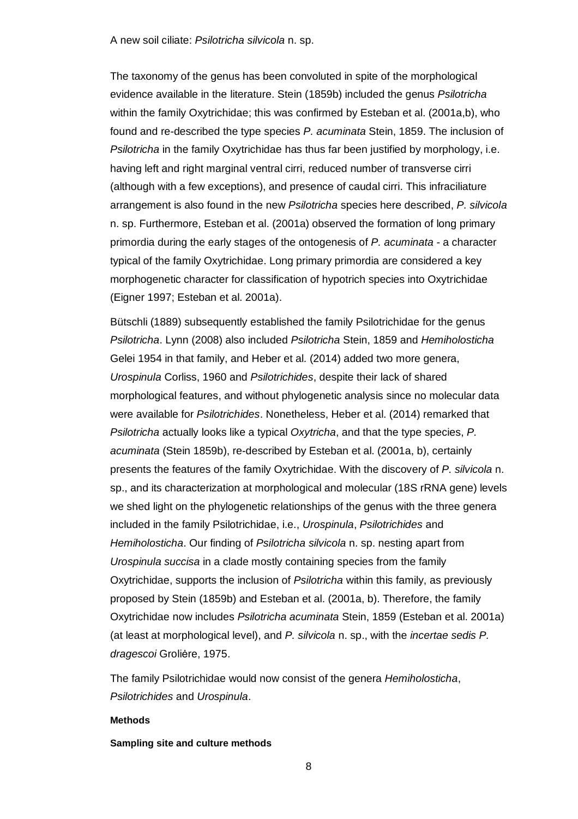The taxonomy of the genus has been convoluted in spite of the morphological evidence available in the literature. Stein (1859b) included the genus *Psilotricha* within the family Oxytrichidae; this was confirmed by Esteban et al. (2001a,b), who found and re-described the type species *P. acuminata* Stein, 1859. The inclusion of *Psilotricha* in the family Oxytrichidae has thus far been justified by morphology, i.e. having left and right marginal ventral cirri, reduced number of transverse cirri (although with a few exceptions), and presence of caudal cirri. This infraciliature arrangement is also found in the new *Psilotricha* species here described, *P. silvicola* n. sp. Furthermore, Esteban et al. (2001a) observed the formation of long primary primordia during the early stages of the ontogenesis of *P. acuminata* - a character typical of the family Oxytrichidae. Long primary primordia are considered a key morphogenetic character for classification of hypotrich species into Oxytrichidae (Eigner 1997; Esteban et al. 2001a).

Bütschli (1889) subsequently established the family Psilotrichidae for the genus *Psilotricha*. Lynn (2008) also included *Psilotricha* Stein, 1859 and *Hemiholosticha* Gelei 1954 in that family, and Heber et al. (2014) added two more genera, *Urospinula* Corliss, 1960 and *Psilotrichides*, despite their lack of shared morphological features, and without phylogenetic analysis since no molecular data were available for *Psilotrichides*. Nonetheless, Heber et al. (2014) remarked that *Psilotricha* actually looks like a typical *Oxytricha*, and that the type species, *P. acuminata* (Stein 1859b), re-described by Esteban et al. (2001a, b), certainly presents the features of the family Oxytrichidae. With the discovery of *P. silvicola* n. sp., and its characterization at morphological and molecular (18S rRNA gene) levels we shed light on the phylogenetic relationships of the genus with the three genera included in the family Psilotrichidae, i.e., *Urospinula*, *Psilotrichides* and *Hemiholosticha*. Our finding of *Psilotricha silvicola* n. sp. nesting apart from *Urospinula succisa* in a clade mostly containing species from the family Oxytrichidae, supports the inclusion of *Psilotricha* within this family, as previously proposed by Stein (1859b) and Esteban et al. (2001a, b). Therefore, the family Oxytrichidae now includes *Psilotricha acuminata* Stein, 1859 (Esteban et al. 2001a) (at least at morphological level), and *P. silvicola* n. sp., with the *incertae sedis P. dragescoi* Groliėre, 1975.

The family Psilotrichidae would now consist of the genera *Hemiholosticha*, *Psilotrichides* and *Urospinula*.

#### **Methods**

### **Sampling site and culture methods**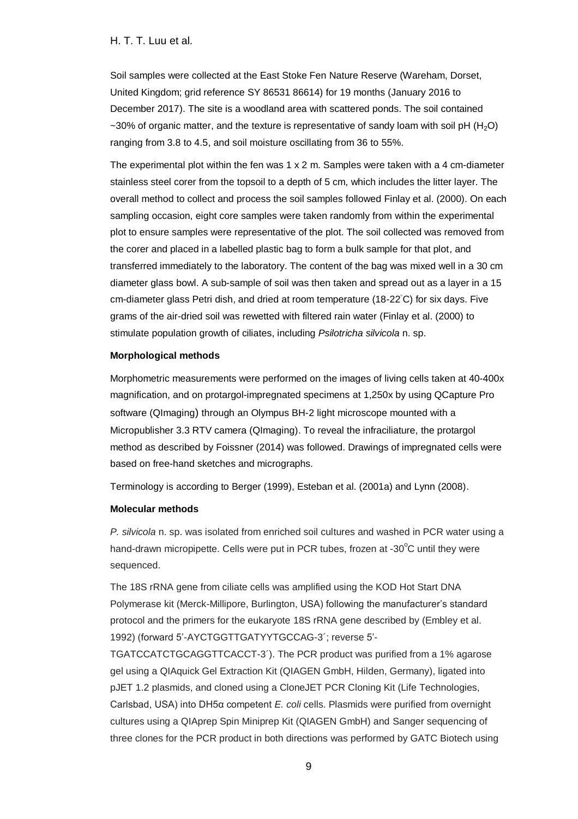Soil samples were collected at the East Stoke Fen Nature Reserve (Wareham, Dorset, United Kingdom; grid reference SY 86531 86614) for 19 months (January 2016 to December 2017). The site is a woodland area with scattered ponds. The soil contained  $\sim$ 30% of organic matter, and the texture is representative of sandy loam with soil pH (H<sub>2</sub>O) ranging from 3.8 to 4.5, and soil moisture oscillating from 36 to 55%.

The experimental plot within the fen was 1 x 2 m. Samples were taken with a 4 cm-diameter stainless steel corer from the topsoil to a depth of 5 cm, which includes the litter layer. The overall method to collect and process the soil samples followed Finlay et al. (2000). On each sampling occasion, eight core samples were taken randomly from within the experimental plot to ensure samples were representative of the plot. The soil collected was removed from the corer and placed in a labelled plastic bag to form a bulk sample for that plot, and transferred immediately to the laboratory. The content of the bag was mixed well in a 30 cm diameter glass bowl. A sub-sample of soil was then taken and spread out as a layer in a 15 cm-diameter glass Petri dish, and dried at room temperature (18-22◦C) for six days. Five grams of the air-dried soil was rewetted with filtered rain water (Finlay et al. (2000) to stimulate population growth of ciliates, including *Psilotricha silvicola* n. sp.

#### **Morphological methods**

Morphometric measurements were performed on the images of living cells taken at 40-400x magnification, and on protargol-impregnated specimens at 1,250x by using QCapture Pro software (QImaging) through an Olympus BH-2 light microscope mounted with a Micropublisher 3.3 RTV camera (QImaging). To reveal the infraciliature, the protargol method as described by Foissner (2014) was followed. Drawings of impregnated cells were based on free-hand sketches and micrographs.

Terminology is according to Berger (1999), Esteban et al. (2001a) and Lynn (2008).

### **Molecular methods**

*P. silvicola* n. sp. was isolated from enriched soil cultures and washed in PCR water using a hand-drawn micropipette. Cells were put in PCR tubes, frozen at -30 $^{\circ}$ C until they were sequenced.

The 18S rRNA gene from ciliate cells was amplified using the KOD Hot Start DNA Polymerase kit (Merck-Millipore, Burlington, USA) following the manufacturer's standard protocol and the primers for the eukaryote 18S rRNA gene described by (Embley et al. 1992) (forward 5'-AYCTGGTTGATYYTGCCAG-3´; reverse 5'-

TGATCCATCTGCAGGTTCACCT-3´). The PCR product was purified from a 1% agarose gel using a QIAquick Gel Extraction Kit (QIAGEN GmbH, Hilden, Germany), ligated into pJET 1.2 plasmids, and cloned using a CloneJET PCR Cloning Kit (Life Technologies, Carlsbad, USA) into DH5α competent *E. coli* cells. Plasmids were purified from overnight cultures using a QIAprep Spin Miniprep Kit (QIAGEN GmbH) and Sanger sequencing of three clones for the PCR product in both directions was performed by GATC Biotech using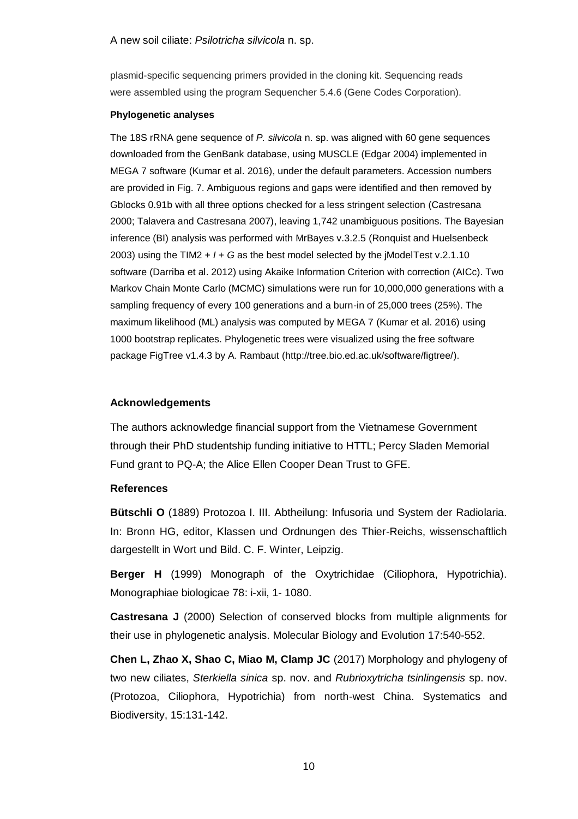plasmid-specific sequencing primers provided in the cloning kit. Sequencing reads were assembled using the program Sequencher 5.4.6 (Gene Codes Corporation).

#### **Phylogenetic analyses**

The 18S rRNA gene sequence of *P. silvicola* n. sp. was aligned with 60 gene sequences downloaded from the GenBank database, using MUSCLE (Edgar 2004) implemented in MEGA 7 software (Kumar et al. 2016), under the default parameters. Accession numbers are provided in Fig. 7. Ambiguous regions and gaps were identified and then removed by Gblocks 0.91b with all three options checked for a less stringent selection (Castresana 2000; Talavera and Castresana 2007), leaving 1,742 unambiguous positions. The Bayesian inference (BI) analysis was performed with MrBayes v.3.2.5 (Ronquist and Huelsenbeck 2003) using the TIM2 + *I* + *G* as the best model selected by the jModelTest v.2.1.10 software (Darriba et al. 2012) using Akaike Information Criterion with correction (AICc). Two Markov Chain Monte Carlo (MCMC) simulations were run for 10,000,000 generations with a sampling frequency of every 100 generations and a burn-in of 25,000 trees (25%). The maximum likelihood (ML) analysis was computed by MEGA 7 (Kumar et al. 2016) using 1000 bootstrap replicates. Phylogenetic trees were visualized using the free software package FigTree v1.4.3 by A. Rambaut [\(http://tree.bio.ed.ac.uk/software/figtree/\)](http://tree.bio.ed.ac.uk/software/figtree/).

## **Acknowledgements**

The authors acknowledge financial support from the Vietnamese Government through their PhD studentship funding initiative to HTTL; Percy Sladen Memorial Fund grant to PQ-A; the Alice Ellen Cooper Dean Trust to GFE.

## **References**

**Bütschli O** (1889) Protozoa I. III. Abtheilung: Infusoria und System der Radiolaria. In: Bronn HG, editor, Klassen und Ordnungen des Thier-Reichs, wissenschaftlich dargestellt in Wort und Bild. C. F. Winter, Leipzig.

**Berger H** (1999) Monograph of the Oxytrichidae (Ciliophora, Hypotrichia). Monographiae biologicae 78: i-xii, 1- 1080.

**Castresana J** (2000) Selection of conserved blocks from multiple alignments for their use in phylogenetic analysis. Molecular Biology and Evolution 17:540-552.

**Chen L, Zhao X, Shao C, Miao M, Clamp JC** (2017) Morphology and phylogeny of two new ciliates, *Sterkiella sinica* sp. nov. and *Rubrioxytricha tsinlingensis* sp. nov. (Protozoa, Ciliophora, Hypotrichia) from north-west China. Systematics and Biodiversity, 15:131-142.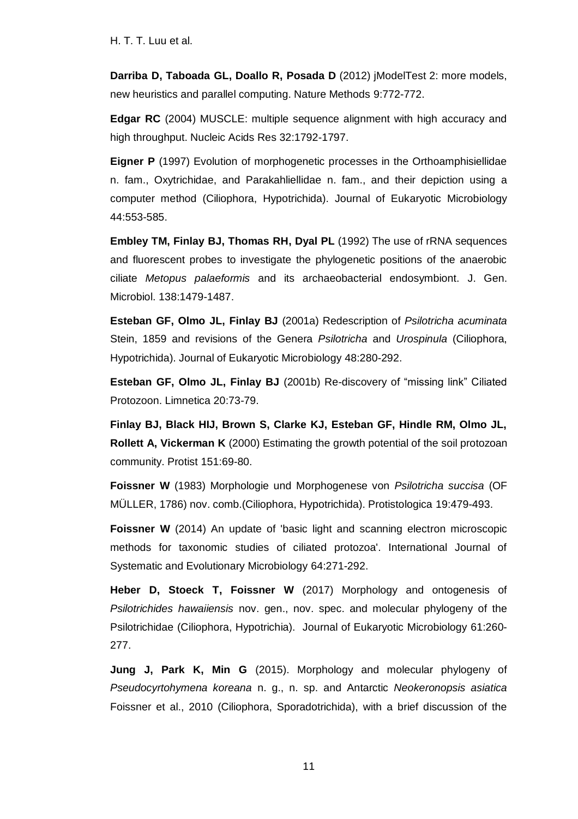**Darriba D, Taboada GL, Doallo R, Posada D** (2012) jModelTest 2: more models, new heuristics and parallel computing. Nature Methods 9:772-772.

**Edgar RC** (2004) MUSCLE: multiple sequence alignment with high accuracy and high throughput. Nucleic Acids Res 32:1792-1797.

**Eigner P** (1997) Evolution of morphogenetic processes in the Orthoamphisiellidae n. fam., Oxytrichidae, and Parakahliellidae n. fam., and their depiction using a computer method (Ciliophora, Hypotrichida). Journal of Eukaryotic Microbiology 44:553-585.

**Embley TM, Finlay BJ, Thomas RH, Dyal PL** (1992) The use of rRNA sequences and fluorescent probes to investigate the phylogenetic positions of the anaerobic ciliate *Metopus palaeformis* and its archaeobacterial endosymbiont. J. Gen. Microbiol. 138:1479-1487.

**Esteban GF, Olmo JL, Finlay BJ** (2001a) Redescription of *Psilotricha acuminata* Stein, 1859 and revisions of the Genera *Psilotricha* and *Urospinula* (Ciliophora, Hypotrichida). Journal of Eukaryotic Microbiology 48:280-292.

**Esteban GF, Olmo JL, Finlay BJ** (2001b) Re-discovery of "missing link" Ciliated Protozoon. Limnetica 20:73-79.

**Finlay BJ, Black HIJ, Brown S, Clarke KJ, Esteban GF, Hindle RM, Olmo JL, Rollett A, Vickerman K** (2000) Estimating the growth potential of the soil protozoan community. Protist 151:69-80.

**Foissner W** (1983) Morphologie und Morphogenese von *Psilotricha succisa* (OF MÜLLER, 1786) nov. comb.(Ciliophora, Hypotrichida). Protistologica 19:479-493.

**Foissner W** (2014) An update of 'basic light and scanning electron microscopic methods for taxonomic studies of ciliated protozoa'. International Journal of Systematic and Evolutionary Microbiology 64:271-292.

**Heber D, Stoeck T, Foissner W** (2017) Morphology and ontogenesis of *Psilotrichides hawaiiensis* nov. gen., nov. spec. and molecular phylogeny of the Psilotrichidae (Ciliophora, Hypotrichia). Journal of Eukaryotic Microbiology 61:260- 277.

**Jung J, Park K, Min G** (2015). Morphology and molecular phylogeny of *Pseudocyrtohymena koreana* n. g., n. sp. and Antarctic *Neokeronopsis asiatica* Foissner et al., 2010 (Ciliophora, Sporadotrichida), with a brief discussion of the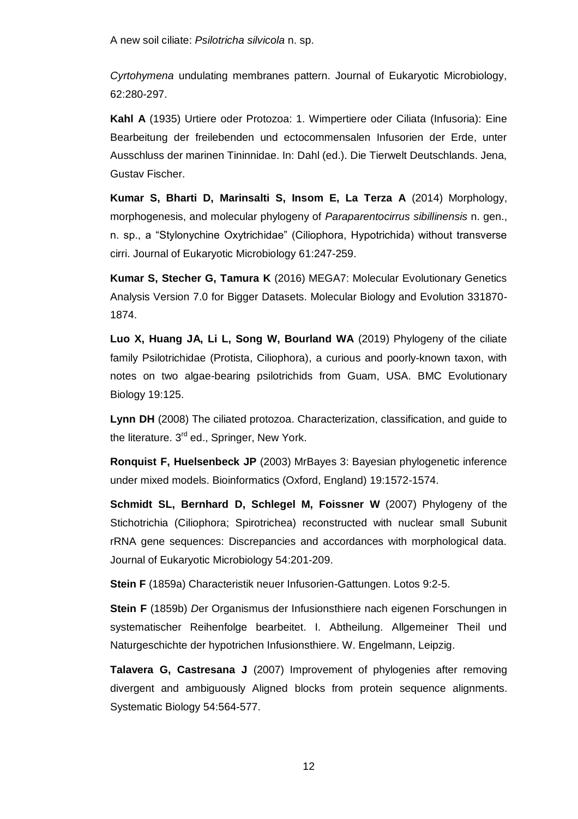*Cyrtohymena* undulating membranes pattern. Journal of Eukaryotic Microbiology, 62:280-297.

**Kahl A** (1935) Urtiere oder Protozoa: 1. Wimpertiere oder Ciliata (Infusoria): Eine Bearbeitung der freilebenden und ectocommensalen Infusorien der Erde, unter Ausschluss der marinen Tininnidae. In: Dahl (ed.). Die Tierwelt Deutschlands. Jena, Gustav Fischer.

**Kumar S, Bharti D, Marinsalti S, Insom E, La Terza A** (2014) Morphology, morphogenesis, and molecular phylogeny of *Paraparentocirrus sibillinensis* n. gen., n. sp., a "Stylonychine Oxytrichidae" (Ciliophora, Hypotrichida) without transverse cirri. Journal of Eukaryotic Microbiology 61:247-259.

**Kumar S, Stecher G, Tamura K** (2016) MEGA7: Molecular Evolutionary Genetics Analysis Version 7.0 for Bigger Datasets. Molecular Biology and Evolution 331870- 1874.

**Luo X, Huang JA, Li L, Song W, Bourland WA** (2019) Phylogeny of the ciliate family Psilotrichidae (Protista, Ciliophora), a curious and poorly-known taxon, with notes on two algae-bearing psilotrichids from Guam, USA. BMC Evolutionary Biology 19:125.

**Lynn DH** (2008) The ciliated protozoa. Characterization, classification, and guide to the literature. 3<sup>rd</sup> ed., Springer, New York.

**Ronquist F, Huelsenbeck JP** (2003) MrBayes 3: Bayesian phylogenetic inference under mixed models. Bioinformatics (Oxford, England) 19:1572-1574.

**Schmidt SL, Bernhard D, Schlegel M, Foissner W** (2007) Phylogeny of the Stichotrichia (Ciliophora; Spirotrichea) reconstructed with nuclear small Subunit rRNA gene sequences: Discrepancies and accordances with morphological data. Journal of Eukaryotic Microbiology 54:201-209.

**Stein F** (1859a) Characteristik neuer Infusorien-Gattungen. Lotos 9:2-5.

**Stein F** (1859b) *D*er Organismus der Infusionsthiere nach eigenen Forschungen in systematischer Reihenfolge bearbeitet. I. Abtheilung. Allgemeiner Theil und Naturgeschichte der hypotrichen Infusionsthiere. W. Engelmann, Leipzig.

**Talavera G, Castresana J** (2007) Improvement of phylogenies after removing divergent and ambiguously Aligned blocks from protein sequence alignments. Systematic Biology 54:564-577.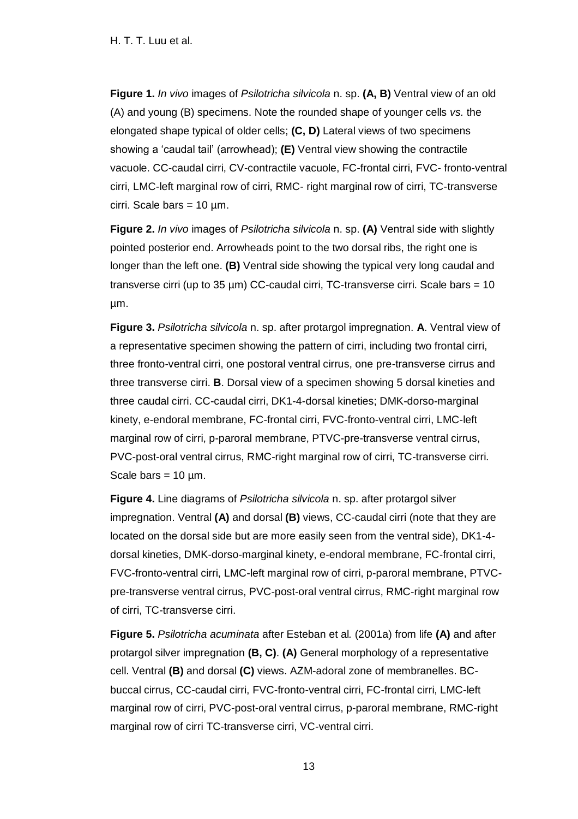**Figure 1.** *In vivo* images of *Psilotricha silvicola* n. sp. **(A, B)** Ventral view of an old (A) and young (B) specimens. Note the rounded shape of younger cells *vs.* the elongated shape typical of older cells; **(C, D)** Lateral views of two specimens showing a 'caudal tail' (arrowhead); **(E)** Ventral view showing the contractile vacuole. CC-caudal cirri, CV-contractile vacuole, FC-frontal cirri, FVC- fronto-ventral cirri, LMC-left marginal row of cirri, RMC- right marginal row of cirri, TC-transverse cirri. Scale bars =  $10 \mu m$ .

**Figure 2.** *In vivo* images of *Psilotricha silvicola* n. sp. **(A)** Ventral side with slightly pointed posterior end. Arrowheads point to the two dorsal ribs, the right one is longer than the left one. **(B)** Ventral side showing the typical very long caudal and transverse cirri (up to 35  $\mu$ m) CC-caudal cirri, TC-transverse cirri. Scale bars = 10 µm.

**Figure 3.** *Psilotricha silvicola* n. sp. after protargol impregnation. **A**. Ventral view of a representative specimen showing the pattern of cirri, including two frontal cirri, three fronto-ventral cirri, one postoral ventral cirrus, one pre-transverse cirrus and three transverse cirri. **B**. Dorsal view of a specimen showing 5 dorsal kineties and three caudal cirri. CC-caudal cirri, DK1-4-dorsal kineties; DMK-dorso-marginal kinety, e-endoral membrane, FC-frontal cirri, FVC-fronto-ventral cirri, LMC-left marginal row of cirri, p-paroral membrane, PTVC-pre-transverse ventral cirrus, PVC-post-oral ventral cirrus, RMC-right marginal row of cirri, TC-transverse cirri. Scale bars  $= 10$  um.

**Figure 4.** Line diagrams of *Psilotricha silvicola* n. sp. after protargol silver impregnation. Ventral **(A)** and dorsal **(B)** views, CC-caudal cirri (note that they are located on the dorsal side but are more easily seen from the ventral side), DK1-4 dorsal kineties, DMK-dorso-marginal kinety, e-endoral membrane, FC-frontal cirri, FVC-fronto-ventral cirri, LMC-left marginal row of cirri, p-paroral membrane, PTVCpre-transverse ventral cirrus, PVC-post-oral ventral cirrus, RMC-right marginal row of cirri, TC-transverse cirri.

**Figure 5.** *Psilotricha acuminata* after Esteban et al*.* (2001a) from life **(A)** and after protargol silver impregnation **(B, C)**. **(A)** General morphology of a representative cell. Ventral **(B)** and dorsal **(C)** views. AZM-adoral zone of membranelles. BCbuccal cirrus, CC-caudal cirri, FVC-fronto-ventral cirri, FC-frontal cirri, LMC-left marginal row of cirri, PVC-post-oral ventral cirrus, p-paroral membrane, RMC-right marginal row of cirri TC-transverse cirri, VC-ventral cirri.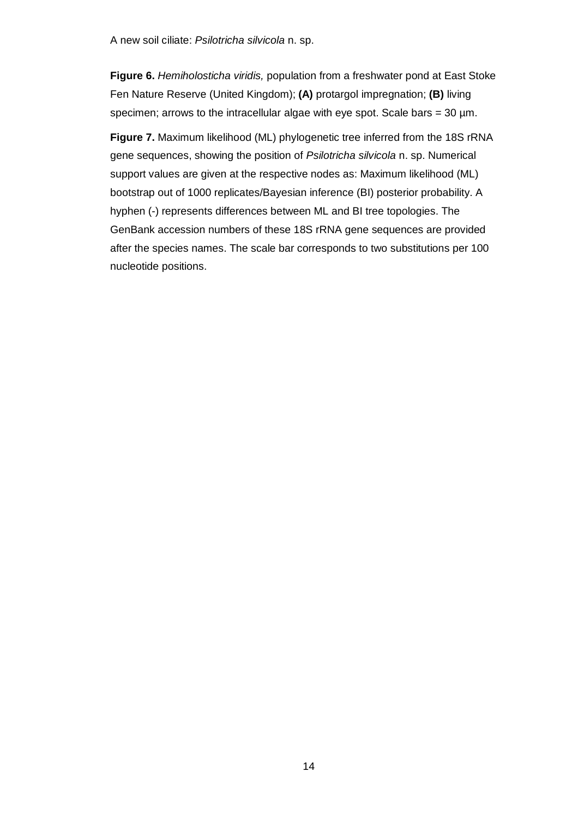**Figure 6.** *Hemiholosticha viridis,* population from a freshwater pond at East Stoke Fen Nature Reserve (United Kingdom); **(A)** protargol impregnation; **(B)** living specimen; arrows to the intracellular algae with eye spot. Scale bars =  $30 \mu m$ .

**Figure 7.** Maximum likelihood (ML) phylogenetic tree inferred from the 18S rRNA gene sequences, showing the position of *Psilotricha silvicola* n. sp. Numerical support values are given at the respective nodes as: Maximum likelihood (ML) bootstrap out of 1000 replicates/Bayesian inference (BI) posterior probability. A hyphen (-) represents differences between ML and BI tree topologies. The GenBank accession numbers of these 18S rRNA gene sequences are provided after the species names. The scale bar corresponds to two substitutions per 100 nucleotide positions.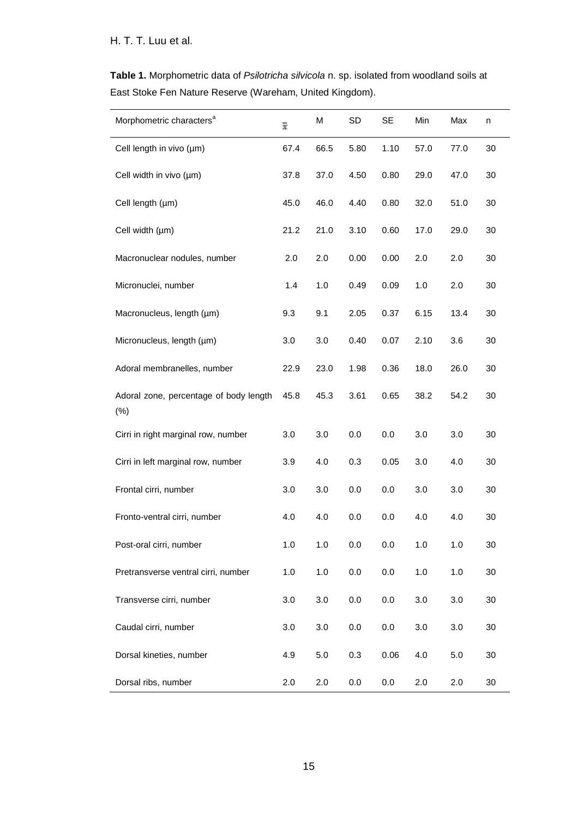**Table 1.** Morphometric data of *Psilotricha silvicola* n. sp. isolated from woodland soils at East Stoke Fen Nature Reserve (Wareham, United Kingdom).

| Morphometric characters <sup>a</sup>          | $\overline{x}$ | M    | <b>SD</b> | SE   | Min     | Max  | n      |
|-----------------------------------------------|----------------|------|-----------|------|---------|------|--------|
| Cell length in vivo (µm)                      | 67.4           | 66.5 | 5.80      | 1.10 | 57.0    | 77.0 | 30     |
| Cell width in vivo (µm)                       | 37.8           | 37.0 | 4.50      | 0.80 | 29.0    | 47.0 | 30     |
| Cell length (µm)                              | 45.0           | 46.0 | 4.40      | 0.80 | 32.0    | 51.0 | 30     |
| Cell width (µm)                               | 21.2           | 21.0 | 3.10      | 0.60 | 17.0    | 29.0 | 30     |
| Macronuclear nodules, number                  | 2.0            | 2.0  | 0.00      | 0.00 | 2.0     | 2.0  | 30     |
| Micronuclei, number                           | 1.4            | 1.0  | 0.49      | 0.09 | 1.0     | 2.0  | 30     |
| Macronucleus, length (µm)                     | 9.3            | 9.1  | 2.05      | 0.37 | 6.15    | 13.4 | 30     |
| Micronucleus, length (µm)                     | 3.0            | 3.0  | 0.40      | 0.07 | 2.10    | 3.6  | 30     |
| Adoral membranelles, number                   | 22.9           | 23.0 | 1.98      | 0.36 | 18.0    | 26.0 | 30     |
| Adoral zone, percentage of body length<br>(%) | 45.8           | 45.3 | 3.61      | 0.65 | 38.2    | 54.2 | 30     |
| Cirri in right marginal row, number           | 3.0            | 3.0  | 0.0       | 0.0  | 3.0     | 3.0  | 30     |
| Cirri in left marginal row, number            | 3.9            | 4.0  | 0.3       | 0.05 | 3.0     | 4.0  | 30     |
| Frontal cirri, number                         | 3.0            | 3.0  | 0.0       | 0.0  | 3.0     | 3.0  | 30     |
| Fronto-ventral cirri, number                  | 4.0            | 4.0  | 0.0       | 0.0  | 4.0     | 4.0  | 30     |
| Post-oral cirri, number                       | 1.0            | 1.0  | 0.0       | 0.0  | 1.0     | 1.0  | 30     |
| Pretransverse ventral cirri, number           | 1.0            | 1.0  | 0.0       | 0.0  | 1.0     | 1.0  | 30     |
| Transverse cirri, number                      | 3.0            | 3.0  | 0.0       | 0.0  | 3.0     | 3.0  | $30\,$ |
| Caudal cirri, number                          | 3.0            | 3.0  | 0.0       | 0.0  | 3.0     | 3.0  | 30     |
| Dorsal kineties, number                       | 4.9            | 5.0  | 0.3       | 0.06 | 4.0     | 5.0  | 30     |
| Dorsal ribs, number                           | 2.0            | 2.0  | 0.0       | 0.0  | $2.0\,$ | 2.0  | $30\,$ |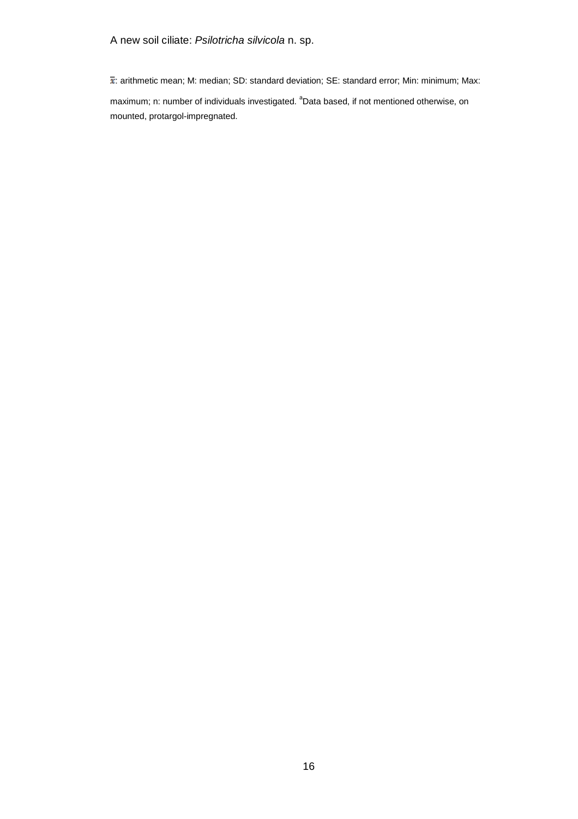$\bar{x}$ : arithmetic mean; M: median; SD: standard deviation; SE: standard error; Min: minimum; Max: maximum; n: number of individuals investigated. <sup>a</sup>Data based, if not mentioned otherwise, on mounted, protargol-impregnated.